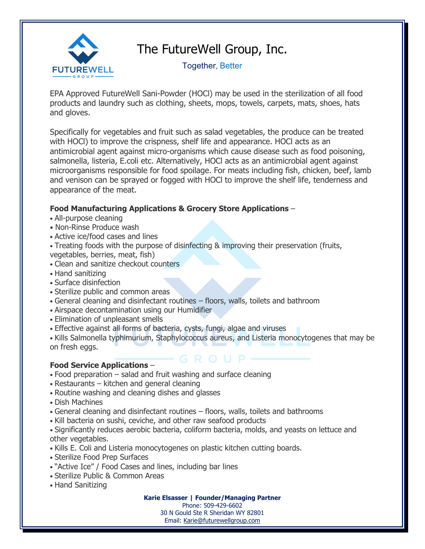

## The FutureWell Group, Inc.

Together, Better

EPA Approved FutureWell Sani-Powder (HOCl) may be used in the sterilization of all food products and laundry such as clothing, sheets, mops, towels, carpets, mats, shoes, hats and gloves.

Specifically for vegetables and fruit such as salad vegetables, the produce can be treated with HOCl) to improve the crispness, shelf life and appearance. HOCl acts as an antimicrobial agent against micro-organisms which cause disease such as food poisoning, salmonella, listeria, E.coli etc. Alternatively, HOCl acts as an antimicrobial agent against microorganisms responsible for food spoilage. For meats including fish, chicken, beef, lamb and venison can be sprayed or fogged with HOCl to improve the shelf life, tenderness and appearance of the meat.

## **Food Manufacturing Applications & Grocery Store Applications** –

- All-purpose cleaning
- Non-Rinse Produce wash
- Active ice/food cases and lines
- Treating foods with the purpose of disinfecting & improving their preservation (fruits, vegetables, berries, meat, fish)
- Clean and sanitize checkout counters
- Hand sanitizing
- Surface disinfection
- Sterilize public and common areas
- General cleaning and disinfectant routines floors, walls, toilets and bathroom
- Airspace decontamination using our Humidifier
- Elimination of unpleasant smells
- Effective against all forms of bacteria, cysts, fungi, algae and viruses
- Kills Salmonella typhimurium, Staphylococcus aureus, and Listeria monocytogenes that may be on fresh eggs.

## **Food Service Applications** –

- Food preparation salad and fruit washing and surface cleaning
- Restaurants kitchen and general cleaning
- Routine washing and cleaning dishes and glasses
- Dish Machines
- General cleaning and disinfectant routines floors, walls, toilets and bathrooms
- Kill bacteria on sushi, ceviche, and other raw seafood products

• Significantly reduces aerobic bacteria, coliform bacteria, molds, and yeasts on lettuce and other vegetables.

- Kills E. Coli and Listeria monocytogenes on plastic kitchen cutting boards.
- Sterilize Food Prep Surfaces
- "Active Ice" / Food Cases and lines, including bar lines
- Sterilize Public & Common Areas
- Hand Sanitizing

**Karie Elsasser | Founder/Managing Partner**

Phone: 509-429-6602 30 N Gould Ste R Sheridan WY 82801 Email: [Karie@futurewellgroup.com](mailto:Karie@futurewellgroup.com)